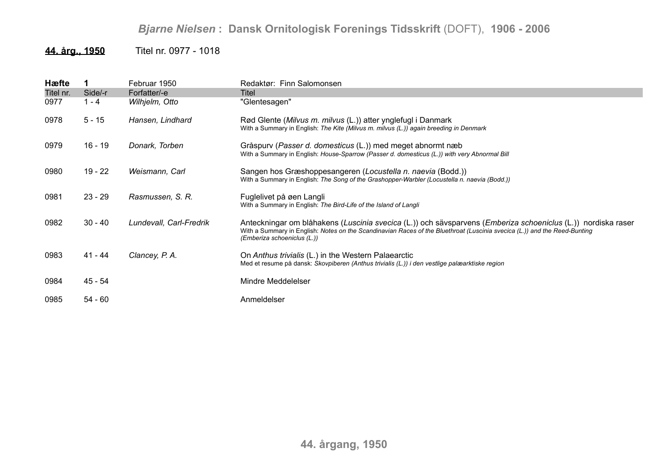## **44. årg., 1950** Titel nr. 0977 - 1018

| Hæfte     |           | Februar 1950            | Redaktør: Finn Salomonsen                                                                                                                                                                                                                                                |
|-----------|-----------|-------------------------|--------------------------------------------------------------------------------------------------------------------------------------------------------------------------------------------------------------------------------------------------------------------------|
| Titel nr. | Side/-r   | Forfatter/-e            | Titel                                                                                                                                                                                                                                                                    |
| 0977      | $1 - 4$   | Wilhjelm, Otto          | "Glentesagen"                                                                                                                                                                                                                                                            |
| 0978      | $5 - 15$  | Hansen, Lindhard        | Rød Glente (Milvus m. milvus (L.)) atter ynglefugl i Danmark<br>With a Summary in English: The Kite (Milvus m. milvus (L.)) again breeding in Denmark                                                                                                                    |
| 0979      | $16 - 19$ | Donark, Torben          | Gråspurv (Passer d. domesticus (L.)) med meget abnormt næb<br>With a Summary in English: House-Sparrow (Passer d. domesticus (L.)) with very Abnormal Bill                                                                                                               |
| 0980      | $19 - 22$ | Weismann, Carl          | Sangen hos Græshoppesangeren (Locustella n. naevia (Bodd.))<br>With a Summary in English: The Song of the Grashopper-Warbler (Locustella n. naevia (Bodd.))                                                                                                              |
| 0981      | $23 - 29$ | Rasmussen, S. R.        | Fuglelivet på øen Langli<br>With a Summary in English: The Bird-Life of the Island of Langli                                                                                                                                                                             |
| 0982      | $30 - 40$ | Lundevall, Carl-Fredrik | Anteckningar om blåhakens (Luscinia svecica (L.)) och sävsparvens (Emberiza schoeniclus (L.)) nordiska raser<br>With a Summary in English: Notes on the Scandinavian Races of the Bluethroat (Luscinia svecica (L.)) and the Reed-Bunting<br>(Emberiza schoeniclus (L.)) |
| 0983      | 41 - 44   | Clancey, P.A.           | On Anthus trivialis (L.) in the Western Palaearctic<br>Med et resume på dansk: Skovpiberen (Anthus trivialis (L.)) i den vestlige palæarktiske region                                                                                                                    |
| 0984      | 45 - 54   |                         | Mindre Meddelelser                                                                                                                                                                                                                                                       |
| 0985      | $54 - 60$ |                         | Anmeldelser                                                                                                                                                                                                                                                              |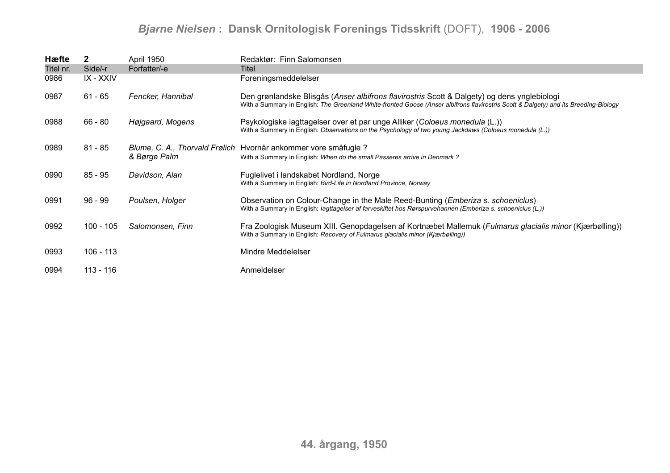| Hæfte     | $\mathbf{2}$ | April 1950        | Redaktør: Finn Salomonsen                                                                                                                                                                                                           |
|-----------|--------------|-------------------|-------------------------------------------------------------------------------------------------------------------------------------------------------------------------------------------------------------------------------------|
| Titel nr. | Side/-r      | Forfatter/-e      | Titel                                                                                                                                                                                                                               |
| 0986      | IX - XXIV    |                   | Foreningsmeddelelser                                                                                                                                                                                                                |
| 0987      | $61 - 65$    | Fencker, Hannibal | Den grønlandske Blisgås (Anser albifrons flavirostris Scott & Dalgety) og dens ynglebiologi<br>With a Summary in English: The Greenland White-fronted Goose (Anser albifrons flavirostris Scott & Dalgety) and its Breeding-Biology |
| 0988      | $66 - 80$    | Højgaard, Mogens  | Psykologiske iagttagelser over et par unge Alliker (Coloeus monedula (L.))<br>With a Summary in English: Observations on the Psychology of two young Jackdaws (Coloeus monedula (L.))                                               |
| 0989      | $81 - 85$    | & Børge Palm      | Blume, C. A., Thorvald Frølich Hvornår ankommer vore småfugle ?<br>With a Summary in English: When do the small Passeres arrive in Denmark?                                                                                         |
| 0990      | $85 - 95$    | Davidson, Alan    | Fuglelivet i landskabet Nordland, Norge<br>With a Summary in English: Bird-Life in Nordland Province, Norway                                                                                                                        |
| 0991      | 96 - 99      | Poulsen, Holger   | Observation on Colour-Change in the Male Reed-Bunting ( <i>Emberiza s. schoeniclus</i> )<br>With a Summary in English: lagttagelser af farveskiftet hos Rørspurvehannen (Emberiza s. schoeniclus (L.))                              |
| 0992      | $100 - 105$  | Salomonsen, Finn  | Fra Zoologisk Museum XIII. Genopdagelsen af Kortnæbet Mallemuk (Fulmarus glacialis minor (Kjærbølling))<br>With a Summary in English: Recovery of Fulmarus glacialis minor (Kjærbølling))                                           |
| 0993      | $106 - 113$  |                   | Mindre Meddelelser                                                                                                                                                                                                                  |
| 0994      | $113 - 116$  |                   | Anmeldelser                                                                                                                                                                                                                         |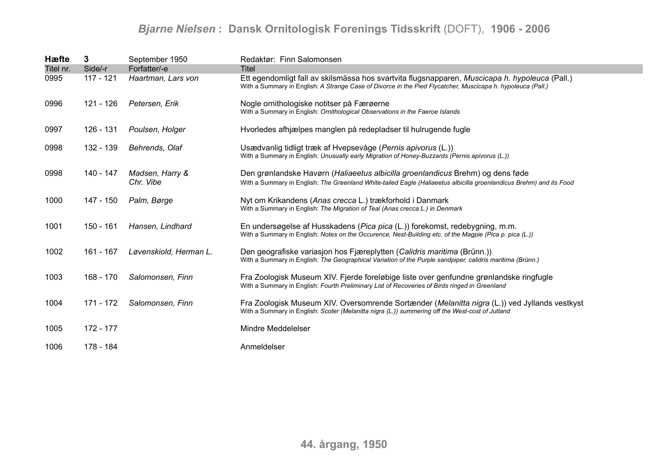| Hæfte     | 3           | September 1950               | Redaktør: Finn Salomonsen                                                                                                                                                                                     |
|-----------|-------------|------------------------------|---------------------------------------------------------------------------------------------------------------------------------------------------------------------------------------------------------------|
| Titel nr. | Side/-r     | Forfatter/-e                 | <b>Titel</b>                                                                                                                                                                                                  |
| 0995      | 117 - 121   | Haartman, Lars von           | Ett egendomligt fall av skilsmässa hos svartvita flugsnapparen, Muscicapa h. hypoleuca (Pall.)<br>With a Summary in English: A Strange Case of Divorce in the Pied Flycatcher, Muscicapa h. hypoleuca (Pall.) |
| 0996      | 121 - 126   | Petersen, Erik               | Nogle ornithologiske notitser på Færøerne<br>With a Summary in English: Ornithological Observations in the Faeroe Islands                                                                                     |
| 0997      | 126 - 131   | Poulsen, Holger              | Hvorledes afhjælpes manglen på redepladser til hulrugende fugle                                                                                                                                               |
| 0998      | 132 - 139   | Behrends, Olaf               | Usædvanlig tidligt træk af Hvepsevåge (Pernis apivorus (L.))<br>With a Summary in English: Unusually early Migration of Honey-Buzzards (Pernis apivorus (L.))                                                 |
| 0998      | 140 - 147   | Madsen, Harry &<br>Chr. Vibe | Den grønlandske Havørn (Haliaeetus albicilla groenlandicus Brehm) og dens føde<br>With a Summary in English: The Greenland White-tailed Eagle (Haliaeetus albicilla groenlandicus Brehm) and its Food         |
| 1000      | 147 - 150   | Palm, Børge                  | Nyt om Krikandens (Anas crecca L.) trækforhold i Danmark<br>With a Summary in English: The Migration of Teal (Anas crecca L.) in Denmark                                                                      |
| 1001      | 150 - 161   | Hansen, Lindhard             | En undersøgelse af Husskadens (Pica pica (L.)) forekomst, redebygning, m.m.<br>With a Summary in English: Notes on the Occurence, Nest-Building etc. of the Magpie (Pica p. pica (L.))                        |
| 1002      | 161 - 167   | Løvenskiold, Herman L.       | Den geografiske variasjon hos Fjæreplytten (Calidris maritima (Brünn.))<br>With a Summary in English: The Geographical Variation of the Purple sandpiper, calidris maritima (Brünn.)                          |
| 1003      | $168 - 170$ | Salomonsen, Finn             | Fra Zoologisk Museum XIV. Fjerde foreløbige liste over genfundne grønlandske ringfugle<br>With a Summary in English: Fourth Preliminary List of Recoveries of Birds ringed in Greenland                       |
| 1004      | 171 - 172   | Salomonsen, Finn             | Fra Zoologisk Museum XIV. Oversomrende Sortænder (Melanitta nigra (L.)) ved Jyllands vestkyst<br>With a Summary in English: Scoter (Melanitta nigra (L.)) summering off the West-cost of Jutland              |
| 1005      | 172 - 177   |                              | Mindre Meddelelser                                                                                                                                                                                            |
| 1006      | 178 - 184   |                              | Anmeldelser                                                                                                                                                                                                   |